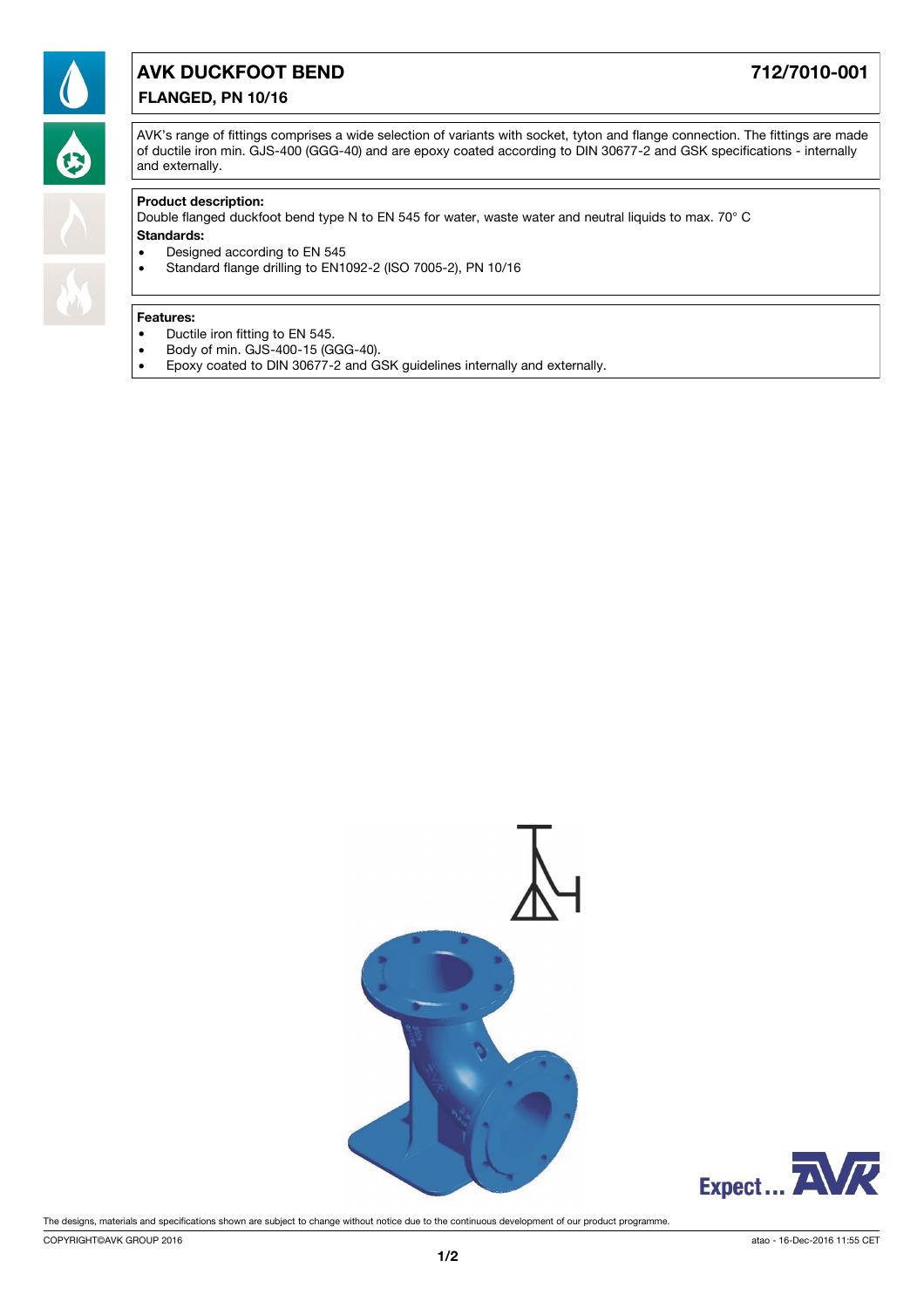

# **FLANGED, PN 10/16 AVK DUCKFOOT BEND 712/7010-001**

AVK's range of fittings comprises a wide selection of variants with socket, tyton and flange connection. The fittings are made of ductile iron min. GJS-400 (GGG-40) and are epoxy coated according to DIN 30677-2 and GSK specifications - internally and externally.

### **Product description:**

Double flanged duckfoot bend type N to EN 545 for water, waste water and neutral liquids to max. 70° C

#### **Standards:**

- · Designed according to EN 545
- · Standard flange drilling to EN1092-2 (ISO 7005-2), PN 10/16

#### **Features:**

- · Ductile iron fitting to EN 545.
- · Body of min. GJS-400-15 (GGG-40).
- · Epoxy coated to DIN 30677-2 and GSK guidelines internally and externally.





The designs, materials and specifications shown are subject to change without notice due to the continuous development of our product programme